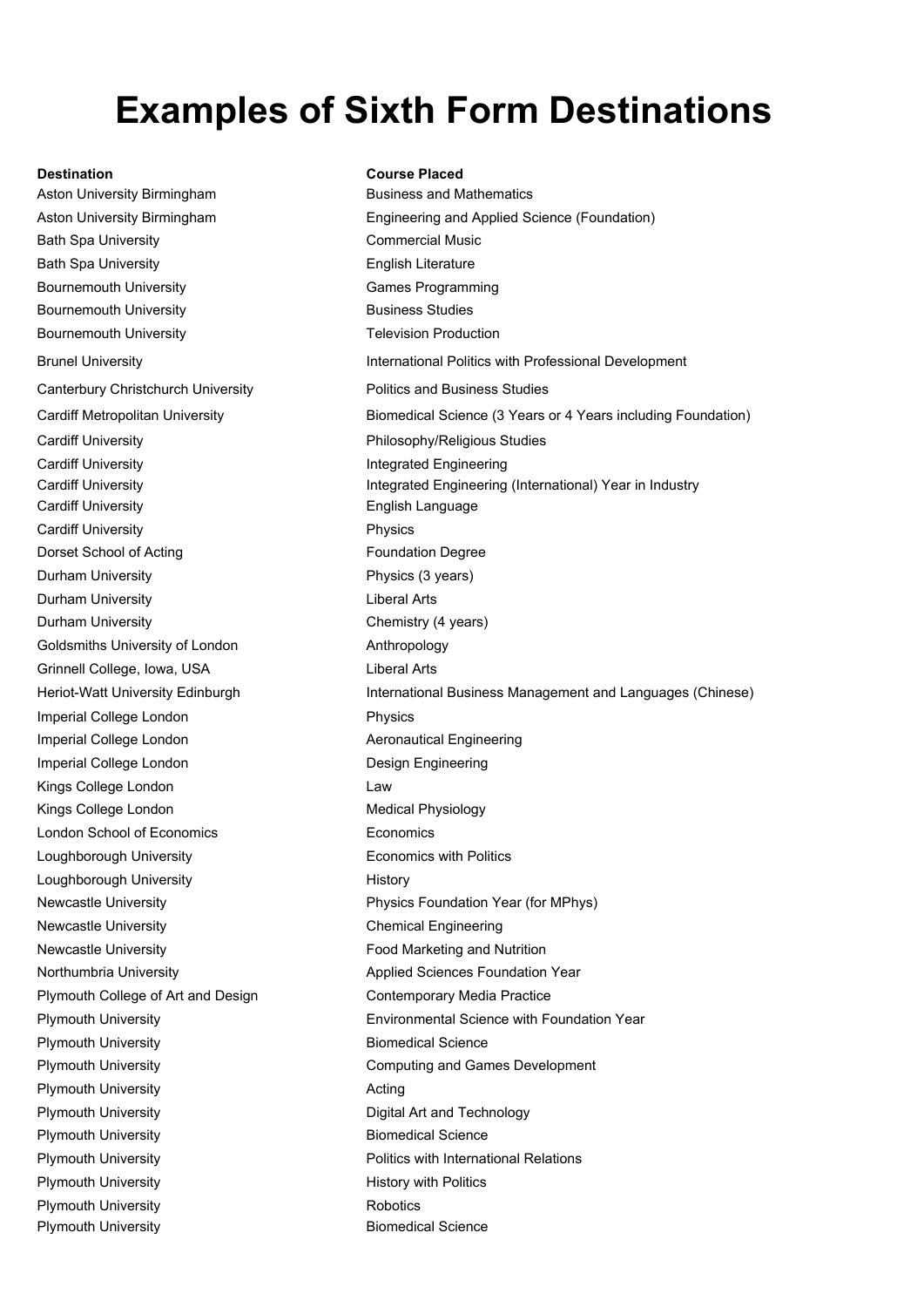# **Examples of Sixth Form Destinations**

### **Destination Course Placed**

Aston University Birmingham Business and Mathematics and Mathematics and Mathematics and Mathematics and Mathematics and Mathematics and Mathematics and Mathematics and Mathematics and Mathematics and Mathematics and Mathe Aston University Birmingham **Engineering** E Bath Spa University Commercial Music Commercial Commercial Commercial Commercial Commercial Commercial Commercial Commercial Commercial Commercial Commercial Commercial Commercial Commercial Commercial Commercial Commercia Bath Spa University **English Literature English Literature English Literature English Literature English Literature English Literature English Literature English Literature English Literature English Literature English Lit** Bournemouth University Games Programming Control of Control of Control of Control of Control of Control of Control of Control of Control of Control of Control of Control of Control of Control of Control of Control of Contr Bournemouth University **Business Studies Studies Studies Studies** Bournemouth University Brunel University **International Politics with Professional Professional Professional Professional Professional** Canterbury Christchurch University **Post Australian Business Studies Studies Studies** F Cardiff Metropolitan University Biomedical Science (3 Years in 5 Years in 4 Years of 4 Years of 4 Years in 5 Ye Cardiff University Philosophy Philosophy Philosophy Cardiff University Integrated Engineering Integrated Engineering Integrated Engineering Integrated Engineering Cardiff University Integrated Engineering (Integrated Engineering Integrated Integrated Integrated Integrated I Cardiff University **English Language English Language English Language English Language English Language English Language English Language English Language English Language English Language English Language English Languag** Cardiff University **Physics** Physics **Physics** Dorset School of Acting Foundation Degree Poundation Degree Poundation Degree Poundation Degree Poundation Degree Poundation Degree Poundation Degree Poundation Degree Poundation Degree Poundation Degree Poundation Degree Durham University **Physics (3 years)** Physics (3 years) Physics (3 years) Physics (3 years) Physics (3 years) Physics (3 years) Physics (3 years) Physics (3 years) Physics (3 years) Physics (3 years) Physics (3 years) Phys Durham University Liberal Arts and Arts and Arts and Arts and Arts and Arts and Arts and Arts and Arts and Arts Durham University Chemistry Chemistry (4 years) Goldsmiths University of London Anthropology Anthropology Anthropology Anthropology Anthropology Anthropology Grinnell College, Iowa, USA Liberal Arts Arts Arts Liberal Arts Arts Arts Liberal Arts Arts Arts Liberal Arts Heriot-Watt University Edinburgh **International Business I** Imperial College London Physics Collective Physics Physics Physics Physics Physics Physics Physics Physics Physics Physics Physics Physics Physics Physics Physics Physics Physics Physics Physics Physics Physics Physics Phy Imperial College London Imperial College London **Design Engineering** E Kings College London **Law 2018** Kings College London Medical Physiology Network Medical Physiology Network Medical Physiology Network Medical Physiology Network Medical Physiology Network Medical Physiology Network Medical Physiology Network Medical Phys London School of Economics **Exercise Equation** E [Loughborough University](http://www.4icu.org/reviews/4727.htm) **Exercise With Politics With Politics With Politics With Politics With Politics With Po** Loughborough University **History History History** Newcastle University **Physics Foundation Physics Foundation Physics For MPhysics For MPhysics For MPhysics For MPhysics For MPhysics For MPhysics For MPhysics For MPhysics For MPhysics For MPhysics For MPhysics For MPhysic** Newcastle University Chemical Engineering Chemical Engineering Chemical Engineering Chemical Engineering Chemical Engineering Chemical Engineering Chemical Engineering Chemical Engineering Chemical Engineering Chemical Eng Newcastle University Food Marketing and Nutrition Marketing and Nutrition Marketing and Nutrition Marketing and Nu Northumbria University Applied Sciences Foundation Year Plymouth College of Art and Design Contemporary Contemporary Contemporary Contemporary Contemporary Contemporary Contemporary Contemporary Contemporary Contemporary Contemporary Contemporary Contemporary Contemporary Conte Plymouth University **Environmental Science With Foundation Science With Foundation Science With Foundation Science W** Plymouth University Biometers and Science Biometers and Science Biometers and Science Biometers and Biometers Plymouth University Computer Computer Computing and Games Development Computer Computer Computer Computer Computing Computer Computer Computer Computer Computer Computer Computer Computer Computer Computer Computer Compute Plymouth University Acting Acting Acting Acting Acting Acting Acting Acting Acting Acting Acting Acting Acting A Plymouth University Digital Art and Technology Digital Art and Technology Digital Art and Technology Digital A Plymouth University Biomedia Science Science Science Science Science Science Science Science Science Science S Plymouth University **Product Analysis with International Relations** Relationship Plymouth University History with Politics and Politics and Politics and Politics and Politics and Politics and Politics and Politics and Politics and Politics and Politics and Politics and Politics and Politics and Politic Plymouth University **Robotics** Robotics Robotics Robotics Robotics Robotics Robotics Robotics Robotics Robotics Plymouth University Biomedia Science Science Biomedia Science Science Science Science Science Science Science

| ◡<br><b>Business and Mathematics</b>                         |
|--------------------------------------------------------------|
| Engineering and Applied Science (Foundation)                 |
| Commercial Music                                             |
| English Literature                                           |
| <b>Games Programming</b>                                     |
| <b>Business Studies</b>                                      |
| <b>Felevision Production</b>                                 |
| nternational Politics with Professional Development          |
| Politics and Business Studies                                |
| Biomedical Science (3 Years or 4 Years including Foundation) |
| Philosophy/Religious Studies                                 |
| ntegrated Engineering                                        |
| ntegrated Engineering (International) Year in Industry       |
| English Language                                             |
| <sup>2</sup> hysics                                          |
| Foundation Degree                                            |
| Physics (3 years)                                            |
| iberal Arts                                                  |
| Chemistry (4 years)                                          |
| Anthropology                                                 |
| iberal Arts                                                  |
| nternational Business Management and Languages (Chinese)     |
| <sup>2</sup> hysics                                          |
| Aeronautical Engineering                                     |
| Design Engineering                                           |
| _aw                                                          |
| Medical Physiology                                           |
| Economics                                                    |
| Economics with Politics                                      |
| History                                                      |
| Physics Foundation Year (for MPhys)                          |
| Chemical Engineering                                         |
| Food Marketing and Nutrition                                 |
| Applied Sciences Foundation Year                             |
| Contemporary Media Practice                                  |
| <b>Environmental Science with Foundation Year</b>            |
| <b>Biomedical Science</b>                                    |
| Computing and Games Development                              |
| Acting                                                       |
| Digital Art and Technology                                   |
| <b>Biomedical Science</b>                                    |
| Politics with International Relations                        |
| History with Politics                                        |
| Robotics                                                     |
| <b>Biomedical Science</b>                                    |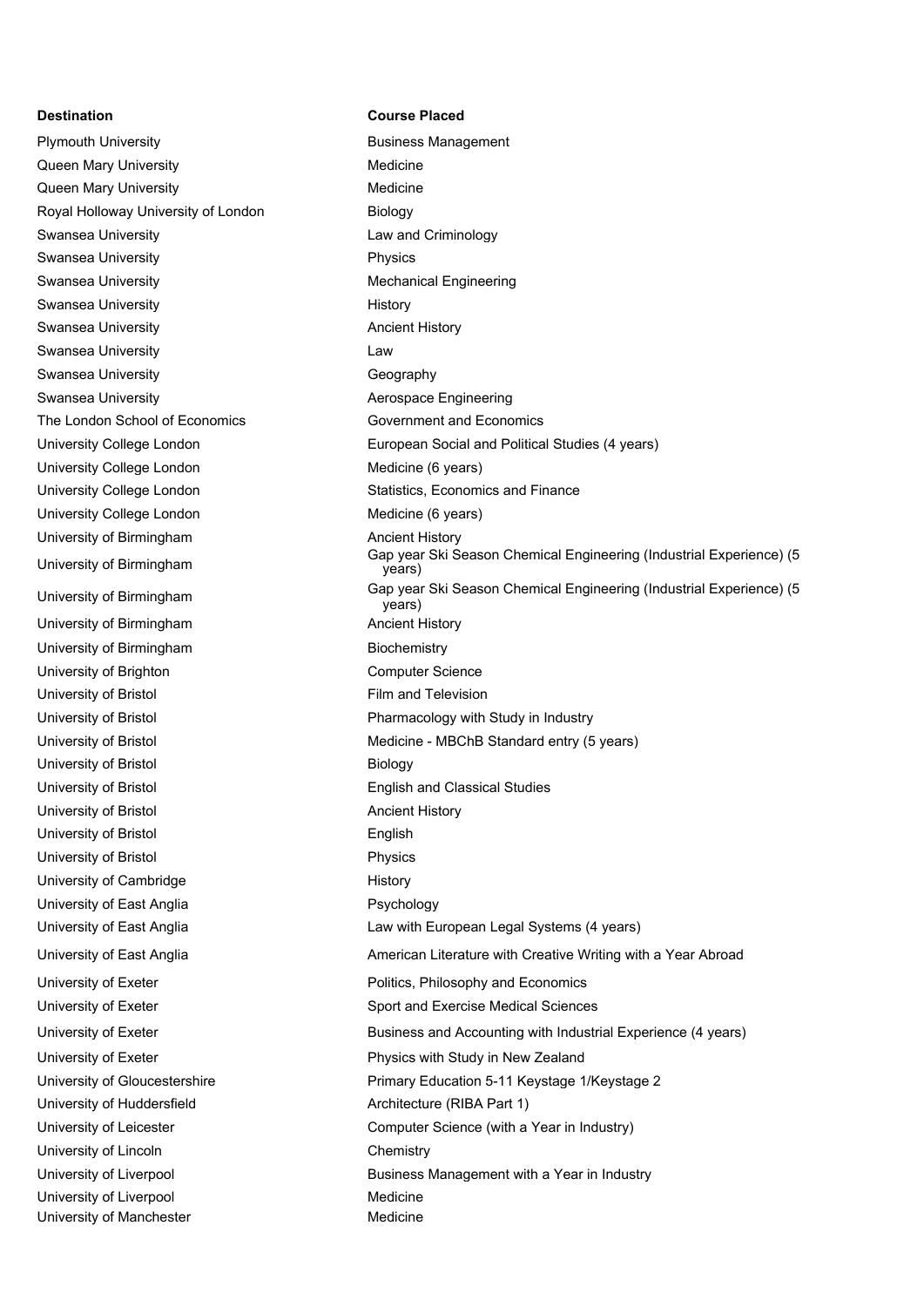Plymouth University **Business Management** Queen Mary University **Medicine** Medicine Queen Mary University **Medicine** Medicine Royal Holloway University of London Biology Swansea University **Law and Criminology** Swansea University **Physics** Swansea University **Mechanical Engineering** Mechanical Engineering Swansea University **History** History Swansea University **Ancient History Ancient History** Swansea University **Law** Swansea University **Geography** Geography Swansea University **Automaker Contract Accepts** Aerospace Engineering The London School of Economics Government and Economics University College London Medicine (6 years) University College London Statistics, Economics and Finance University College London Medicine (6 years) University of Birmingham Ancient History University of Birmingham Ancient History University of Birmingham Biochemistry University of Brighton Computer Science University of Bristol **Film and Television** University of Bristol **Biology** University of Bristol **English and Classical Studies** University of Bristol **Ancient History Ancient History** University of Bristol **English** University of Bristol **Physics** University of Cambridge History University of East Anglia **Psychology** University of Exeter **Politics**, Philosophy and Economics University of Exeter **Physics with Study in New Zealand** University of Huddersfield **Architecture (RIBA Part 1)** University of Lincoln Chemistry University of Liverpool and Medicine University of Manchester **Medicine** Medicine

### **Destination Course Placed**

University College London European Social and Political Studies (4 years) University of Birmingham Gap year Ski Season Chemical Engineering (Industrial Experience) (5 years) University of Birmingham Gap year Ski Season Chemical Engineering (Industrial Experience) (5 years) University of Bristol **Pharmacology with Study in Industry** University of Bristol **Medicine - MBChB Standard entry (5 years)** Medicine - MBChB Standard entry (5 years) University of East Anglia Law With European Legal Systems (4 years) University of East Anglia **American Literature with Creative Writing with a Year Abroad** University of Exeter Sport and Exercise Medical Sciences University of Exeter **Business and Accounting with Industrial Experience (4 years)** Business and Accounting with Industrial Experience (4 years) University of Gloucestershire **Primary Education 5-11 Keystage 1/Keystage 2** University of Leicester **Computer Science (with a Year in Industry)** Computer Science (with a Year in Industry) University of Liverpool **Business Management with a Year in Industry**